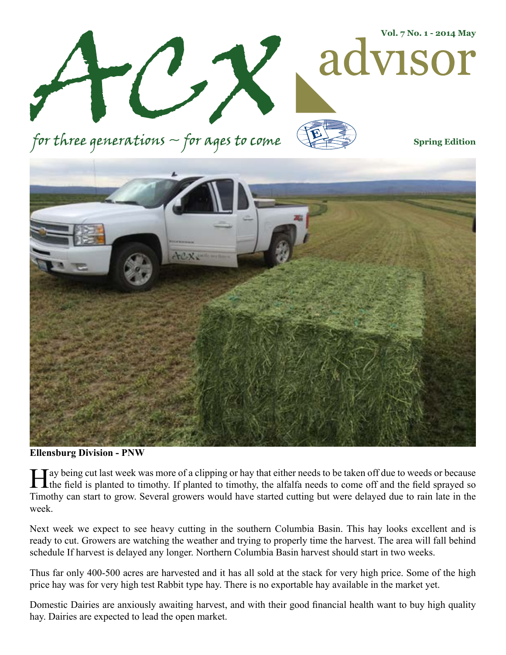**Vol. 7 No. 1 - 2014 May**

**Spring Edition**

advisor

for three generations  $\sim$  for ages to come



**Ellensburg Division - PNW**

I ay being cut last week was more of a clipping or hay that either needs to be taken off due to weeds or because<br>the field is planted to timothy. If planted to timothy, the alfalfa needs to come off and the field sprayed s Timothy can start to grow. Several growers would have started cutting but were delayed due to rain late in the week.

Next week we expect to see heavy cutting in the southern Columbia Basin. This hay looks excellent and is ready to cut. Growers are watching the weather and trying to properly time the harvest. The area will fall behind schedule If harvest is delayed any longer. Northern Columbia Basin harvest should start in two weeks.

Thus far only 400-500 acres are harvested and it has all sold at the stack for very high price. Some of the high price hay was for very high test Rabbit type hay. There is no exportable hay available in the market yet.

Domestic Dairies are anxiously awaiting harvest, and with their good financial health want to buy high quality hay. Dairies are expected to lead the open market.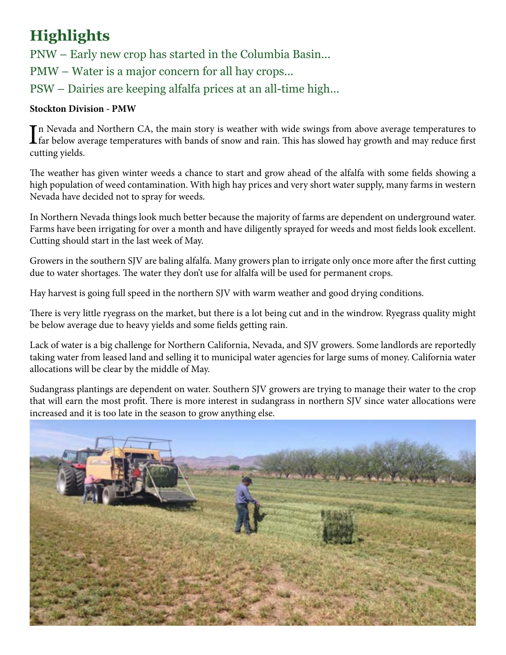# **Highlights**

PNW – Early new crop has started in the Columbia Basin... PMW – Water is a major concern for all hay crops... PSW – Dairies are keeping alfalfa prices at an all-time high...

# **Stockton Division - PMW**

In Nevada and Northern CA, the main story is weather with wide swings from above average temperatures to far below average temperatures with bands of snow and rain. This has slowed hay growth and may reduce first n Nevada and Northern CA, the main story is weather with wide swings from above average temperatures to cutting yields.

The weather has given winter weeds a chance to start and grow ahead of the alfalfa with some fields showing a high population of weed contamination. With high hay prices and very short water supply, many farms in western Nevada have decided not to spray for weeds.

In Northern Nevada things look much better because the majority of farms are dependent on underground water. Farms have been irrigating for over a month and have diligently sprayed for weeds and most fields look excellent. Cutting should start in the last week of May.

Growers in the southern SJV are baling alfalfa. Many growers plan to irrigate only once more after the first cutting due to water shortages. The water they don't use for alfalfa will be used for permanent crops.

Hay harvest is going full speed in the northern SJV with warm weather and good drying conditions.

There is very little ryegrass on the market, but there is a lot being cut and in the windrow. Ryegrass quality might be below average due to heavy yields and some fields getting rain.

Lack of water is a big challenge for Northern California, Nevada, and SJV growers. Some landlords are reportedly taking water from leased land and selling it to municipal water agencies for large sums of money. California water allocations will be clear by the middle of May.

Sudangrass plantings are dependent on water. Southern SJV growers are trying to manage their water to the crop that will earn the most profit. There is more interest in sudangrass in northern SJV since water allocations were increased and it is too late in the season to grow anything else.

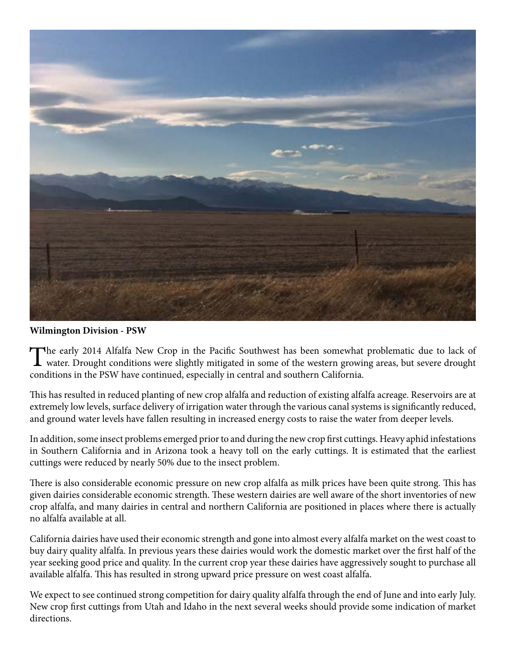

## **Wilmington Division - PSW**

The early 2014 Alfalfa New Crop in the Pacific Southwest has been somewhat problematic due to lack of water. Drought conditions were slightly mitigated in some of the western growing areas, but severe drought conditions in the PSW have continued, especially in central and southern California.

This has resulted in reduced planting of new crop alfalfa and reduction of existing alfalfa acreage. Reservoirs are at extremely low levels, surface delivery of irrigation water through the various canal systems is significantly reduced, and ground water levels have fallen resulting in increased energy costs to raise the water from deeper levels.

In addition, some insect problems emerged prior to and during the new crop first cuttings. Heavy aphid infestations in Southern California and in Arizona took a heavy toll on the early cuttings. It is estimated that the earliest cuttings were reduced by nearly 50% due to the insect problem.

There is also considerable economic pressure on new crop alfalfa as milk prices have been quite strong. This has given dairies considerable economic strength. These western dairies are well aware of the short inventories of new crop alfalfa, and many dairies in central and northern California are positioned in places where there is actually no alfalfa available at all.

California dairies have used their economic strength and gone into almost every alfalfa market on the west coast to buy dairy quality alfalfa. In previous years these dairies would work the domestic market over the first half of the year seeking good price and quality. In the current crop year these dairies have aggressively sought to purchase all available alfalfa. This has resulted in strong upward price pressure on west coast alfalfa.

We expect to see continued strong competition for dairy quality alfalfa through the end of June and into early July. New crop first cuttings from Utah and Idaho in the next several weeks should provide some indication of market directions.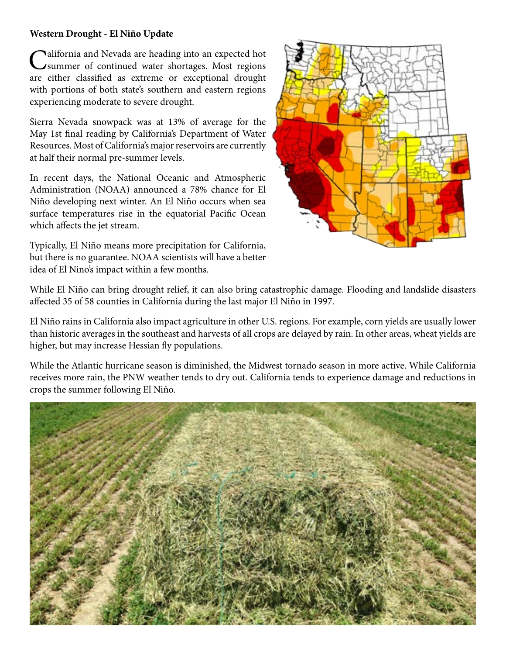# **Western Drought - El Niño Update**

California and Nevada are heading into an expected hot summer of continued water shortages. Most regions are either classified as extreme or exceptional drought with portions of both state's southern and eastern regions experiencing moderate to severe drought.

Sierra Nevada snowpack was at 13% of average for the May 1st final reading by California's Department of Water Resources. Most of California's major reservoirs are currently at half their normal pre-summer levels.

In recent days, the National Oceanic and Atmospheric Administration (NOAA) announced a 78% chance for El Niño developing next winter. An El Niño occurs when sea surface temperatures rise in the equatorial Pacific Ocean which affects the jet stream.

Typically, El Niño means more precipitation for California, but there is no guarantee. NOAA scientists will have a better idea of El Nino's impact within a few months.



While El Niño can bring drought relief, it can also bring catastrophic damage. Flooding and landslide disasters affected 35 of 58 counties in California during the last major El Niño in 1997.

El Niño rains in California also impact agriculture in other U.S. regions. For example, corn yields are usually lower than historic averages in the southeast and harvests of all crops are delayed by rain. In other areas, wheat yields are higher, but may increase Hessian fly populations.

While the Atlantic hurricane season is diminished, the Midwest tornado season in more active. While California receives more rain, the PNW weather tends to dry out. California tends to experience damage and reductions in crops the summer following El Niño.